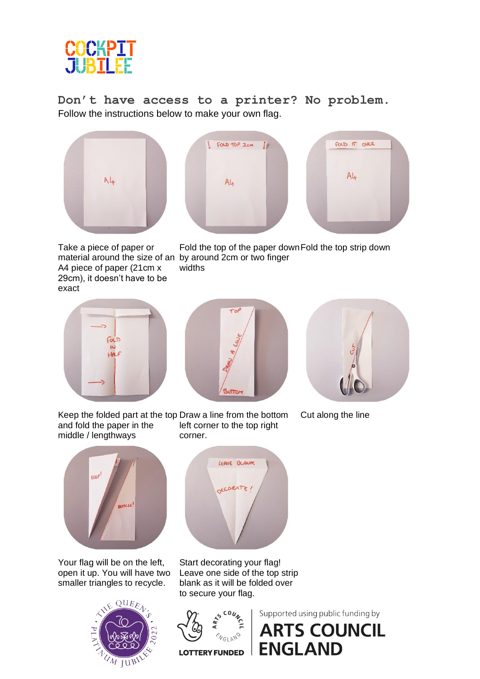

**Don't have access to a printer? No problem.** Follow the instructions below to make your own flag.







Take a piece of paper or material around the size of an by around 2cm or two finger A4 piece of paper (21cm x 29cm), it doesn't have to be exact

Fold the top of the paper down Fold the top strip down widths







Cut along the line

and fold the paper in the middle / lengthways



Keep the folded part at the top Draw a line from the bottom

corner.

Your flag will be on the left, open it up. You will have two smaller triangles to recycle.





left corner to the top right

Start decorating your flag! Leave one side of the top strip blank as it will be folded over to secure your flag.